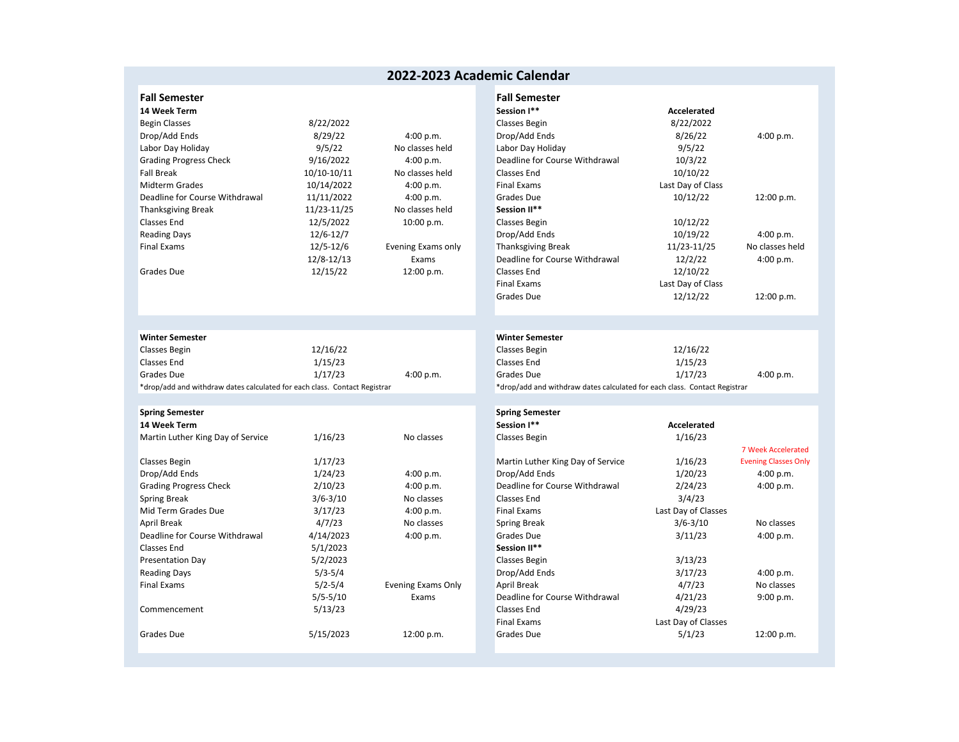## **2022‐2023 Academic Calendar**

| 14 Week Term                   |               |                    | Session I**                    | Accelerated                               |              |
|--------------------------------|---------------|--------------------|--------------------------------|-------------------------------------------|--------------|
| <b>Begin Classes</b>           | 8/22/2022     |                    | Classes Begin                  | 8/22/2022                                 |              |
| Drop/Add Ends                  | 8/29/22       | 4:00 p.m.          | Drop/Add Ends                  | 8/26/22                                   | 4:00 p.m.    |
| Labor Day Holiday              | 9/5/22        | No classes held    | Labor Day Holiday              | 9/5/22                                    |              |
| <b>Grading Progress Check</b>  | 9/16/2022     | 4:00 p.m.          | Deadline for Course Withdrawal | 10/3/22                                   |              |
| <b>Fall Break</b>              | 10/10-10/11   | No classes held    | Classes End                    | 10/10/22                                  |              |
| <b>Midterm Grades</b>          | 10/14/2022    | 4:00 p.m.          | Final Exams                    | Last Day of Class                         |              |
| Deadline for Course Withdrawal | 11/11/2022    | 4:00 p.m.          | Grades Due                     | 10/12/22                                  | 12:00 p.r    |
| <b>Thanksgiving Break</b>      | 11/23-11/25   | No classes held    | Session II**                   |                                           |              |
| Classes End                    | 12/5/2022     | 10:00 p.m.         | Classes Begin                  | 10/12/22                                  |              |
| <b>Reading Days</b>            | 12/6-12/7     |                    | Drop/Add Ends                  | 10/19/22                                  | 4:00 p.m     |
| <b>Final Exams</b>             | $12/5 - 12/6$ | Evening Exams only | <b>Thanksgiving Break</b>      | 11/23-11/25                               | No classes h |
|                                | 12/8-12/13    | Exams              | Deadline for Course Withdrawal | 12/2/22                                   | 4:00 p.m.    |
| <b>Grades Due</b>              | 12/15/22      | 12:00 p.m.         | Classes End                    | 12/10/22                                  |              |
|                                |               |                    |                                | $\sim$ $\sim$ $\sim$ $\sim$ $\sim$ $\sim$ |              |

| <b>Winter Semester</b>                                                    |          |           | Winter Semester |                                                                           |
|---------------------------------------------------------------------------|----------|-----------|-----------------|---------------------------------------------------------------------------|
| Classes Begin                                                             | 12/16/22 |           | Classes Begin   | 12/16/22                                                                  |
| Classes End                                                               | 1/15/23  |           | Classes End     | 1/15/23                                                                   |
| Grades Due                                                                | 1/17/23  | 4:00 p.m. | Grades Due      | 1/17/23                                                                   |
| *drop/add and withdraw dates calculated for each class. Contact Registrar |          |           |                 | *drop/add and withdraw dates calculated for each class. Contact Registrar |

| <b>Spring Semester</b>            |              |                    | <b>Spring Semester</b>            |                     |                        |
|-----------------------------------|--------------|--------------------|-----------------------------------|---------------------|------------------------|
| 14 Week Term                      |              |                    | Session I**                       | Accelerated         |                        |
| Martin Luther King Day of Service | 1/16/23      | No classes         | Classes Begin                     | 1/16/23             |                        |
|                                   |              |                    |                                   |                     | 7 Week Acceler         |
| Classes Begin                     | 1/17/23      |                    | Martin Luther King Day of Service | 1/16/23             | <b>Evening Classes</b> |
| Drop/Add Ends                     | 1/24/23      | 4:00 p.m.          | Drop/Add Ends                     | 1/20/23             | 4:00 p.m.              |
| <b>Grading Progress Check</b>     | 2/10/23      | 4:00 p.m.          | Deadline for Course Withdrawal    | 2/24/23             | 4:00 p.m.              |
| Spring Break                      | $3/6 - 3/10$ | No classes         | <b>Classes End</b>                | 3/4/23              |                        |
| Mid Term Grades Due               | 3/17/23      | 4:00 p.m.          | Final Exams                       | Last Day of Classes |                        |
| <b>April Break</b>                | 4/7/23       | No classes         | <b>Spring Break</b>               | $3/6 - 3/10$        | No classes             |
| Deadline for Course Withdrawal    | 4/14/2023    | 4:00 p.m.          | Grades Due                        | 3/11/23             | 4:00 p.m.              |
| Classes End                       | 5/1/2023     |                    | Session II**                      |                     |                        |
| <b>Presentation Day</b>           | 5/2/2023     |                    | Classes Begin                     | 3/13/23             |                        |
| <b>Reading Days</b>               | $5/3 - 5/4$  |                    | Drop/Add Ends                     | 3/17/23             | 4:00 p.m.              |
| <b>Final Exams</b>                | $5/2 - 5/4$  | Evening Exams Only | April Break                       | 4/7/23              | No classes             |
|                                   | $5/5 - 5/10$ | Exams              | Deadline for Course Withdrawal    | 4/21/23             | 9:00 p.m.              |
| Commencement                      | 5/13/23      |                    | <b>Classes End</b>                | 4/29/23             |                        |
|                                   |              |                    | Final Exams                       | Last Day of Classes |                        |
| Grades Due                        | 5/15/2023    | 12:00 p.m.         | <b>Grades Due</b>                 | 5/1/23              | 12:00 p.m              |
|                                   |              |                    |                                   |                     |                        |

| <b>Fall Semester</b>           |               |                    | <b>Fall Semester</b>           |                   |                 |
|--------------------------------|---------------|--------------------|--------------------------------|-------------------|-----------------|
| 14 Week Term                   |               |                    | Session I**                    | Accelerated       |                 |
| Begin Classes                  | 8/22/2022     |                    | Classes Begin                  | 8/22/2022         |                 |
| Drop/Add Ends                  | 8/29/22       | 4:00 p.m.          | Drop/Add Ends                  | 8/26/22           | 4:00 p.m.       |
| Labor Day Holiday              | 9/5/22        | No classes held    | Labor Day Holiday              | 9/5/22            |                 |
| Grading Progress Check         | 9/16/2022     | 4:00 p.m.          | Deadline for Course Withdrawal | 10/3/22           |                 |
| Fall Break                     | 10/10-10/11   | No classes held    | Classes End                    | 10/10/22          |                 |
| Midterm Grades                 | 10/14/2022    | 4:00 p.m.          | Final Exams                    | Last Day of Class |                 |
| Deadline for Course Withdrawal | 11/11/2022    | 4:00 p.m.          | Grades Due                     | 10/12/22          | 12:00 p.m.      |
| Thanksgiving Break             | 11/23-11/25   | No classes held    | Session II**                   |                   |                 |
| Classes End                    | 12/5/2022     | 10:00 p.m.         | Classes Begin                  | 10/12/22          |                 |
| Reading Days                   | $12/6 - 12/7$ |                    | Drop/Add Ends                  | 10/19/22          | 4:00 p.m.       |
| Final Exams                    | 12/5-12/6     | Evening Exams only | <b>Thanksgiving Break</b>      | 11/23-11/25       | No classes held |
|                                | 12/8-12/13    | Exams              | Deadline for Course Withdrawal | 12/2/22           | 4:00 p.m.       |
| Grades Due                     | 12/15/22      | 12:00 p.m.         | Classes End                    | 12/10/22          |                 |
|                                |               |                    | Final Exams                    | Last Day of Class |                 |
|                                |               |                    | Grades Due                     | 12/12/22          | 12:00 p.m.      |
|                                |               |                    |                                |                   |                 |

## **Semester Winter Semester**

| s Begin                                                             | 12/16/22 |           | Classes Begin     | 12/16/22                                                                  |           |
|---------------------------------------------------------------------|----------|-----------|-------------------|---------------------------------------------------------------------------|-----------|
| s End                                                               | 1/15/23  |           | Classes End       | 1/15/23                                                                   |           |
| s Due                                                               | 1/17/23  | 4:00 p.m. | <b>Grades Due</b> | 1/17/23                                                                   | 4:00 p.m. |
| add and withdraw dates calculated for each class. Contact Registrar |          |           |                   | *drop/add and withdraw dates calculated for each class. Contact Registrar |           |

| ng Semester                    |              |                           | <b>Spring Semester</b>            |                     |                             |
|--------------------------------|--------------|---------------------------|-----------------------------------|---------------------|-----------------------------|
| Veek Term                      |              |                           | Session I**                       | Accelerated         |                             |
| tin Luther King Day of Service | 1/16/23      | No classes                | Classes Begin                     | 1/16/23             |                             |
|                                |              |                           |                                   |                     | 7 Week Accelerated          |
| ses Begin                      | 1/17/23      |                           | Martin Luther King Day of Service | 1/16/23             | <b>Evening Classes Only</b> |
| ว/Add Ends                     | 1/24/23      | 4:00 p.m.                 | Drop/Add Ends                     | 1/20/23             | 4:00 p.m.                   |
| ding Progress Check            | 2/10/23      | 4:00 p.m.                 | Deadline for Course Withdrawal    | 2/24/23             | 4:00 p.m.                   |
| ng Break                       | $3/6 - 3/10$ | No classes                | <b>Classes End</b>                | 3/4/23              |                             |
| Term Grades Due                | 3/17/23      | 4:00 p.m.                 | <b>Final Exams</b>                | Last Day of Classes |                             |
| l Break                        | 4/7/23       | No classes                | Spring Break                      | $3/6 - 3/10$        | No classes                  |
| dline for Course Withdrawal    | 4/14/2023    | 4:00 p.m.                 | Grades Due                        | 3/11/23             | 4:00 p.m.                   |
| ses End                        | 5/1/2023     |                           | Session II**                      |                     |                             |
| entation Day                   | 5/2/2023     |                           | Classes Begin                     | 3/13/23             |                             |
| ding Days                      | $5/3 - 5/4$  |                           | Drop/Add Ends                     | 3/17/23             | 4:00 p.m.                   |
| l Exams                        | $5/2 - 5/4$  | <b>Evening Exams Only</b> | April Break                       | 4/7/23              | No classes                  |
|                                | $5/5 - 5/10$ | Exams                     | Deadline for Course Withdrawal    | 4/21/23             | 9:00 p.m.                   |
| ımencement                     | 5/13/23      |                           | Classes End                       | 4/29/23             |                             |
|                                |              |                           | <b>Final Exams</b>                | Last Day of Classes |                             |
| des Due                        | 5/15/2023    | 12:00 p.m.                | Grades Due                        | 5/1/23              | 12:00 p.m.                  |
|                                |              |                           |                                   |                     |                             |